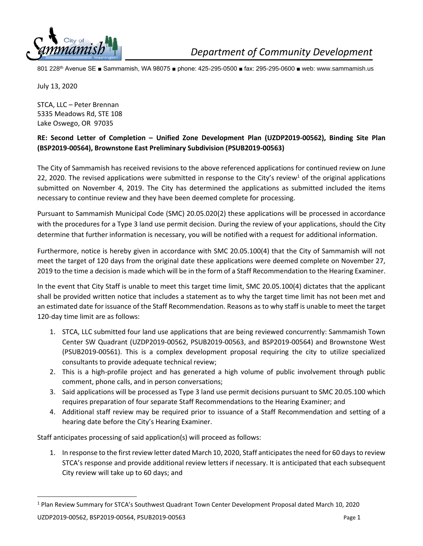

801 228th Avenue SE ■ Sammamish, WA 98075 ■ phone: 425-295-0500 ■ fax: 295-295-0600 ■ web: www.sammamish.us

July 13, 2020

STCA, LLC – Peter Brennan 5335 Meadows Rd, STE 108 Lake Oswego, OR 97035

## **RE: Second Letter of Completion – Unified Zone Development Plan (UZDP2019-00562), Binding Site Plan (BSP2019-00564), Brownstone East Preliminary Subdivision (PSUB2019-00563)**

The City of Sammamish has received revisions to the above referenced applications for continued review on June 22, 2020. The revised applications were submitted in response to the City's review<sup>1</sup> of the original applications submitted on November 4, 2019. The City has determined the applications as submitted included the items necessary to continue review and they have been deemed complete for processing.

Pursuant to Sammamish Municipal Code (SMC) 20.05.020(2) these applications will be processed in accordance with the procedures for a Type 3 land use permit decision. During the review of your applications, should the City determine that further information is necessary, you will be notified with a request for additional information.

Furthermore, notice is hereby given in accordance with SMC 20.05.100(4) that the City of Sammamish will not meet the target of 120 days from the original date these applications were deemed complete on November 27, 2019 to the time a decision is made which will be in the form of a Staff Recommendation to the Hearing Examiner.

In the event that City Staff is unable to meet this target time limit, SMC 20.05.100(4) dictates that the applicant shall be provided written notice that includes a statement as to why the target time limit has not been met and an estimated date for issuance of the Staff Recommendation. Reasons as to why staff is unable to meet the target 120-day time limit are as follows:

- 1. STCA, LLC submitted four land use applications that are being reviewed concurrently: Sammamish Town Center SW Quadrant (UZDP2019-00562, PSUB2019-00563, and BSP2019-00564) and Brownstone West (PSUB2019-00561). This is a complex development proposal requiring the city to utilize specialized consultants to provide adequate technical review;
- 2. This is a high-profile project and has generated a high volume of public involvement through public comment, phone calls, and in person conversations;
- 3. Said applications will be processed as Type 3 land use permit decisions pursuant to SMC 20.05.100 which requires preparation of four separate Staff Recommendations to the Hearing Examiner; and
- 4. Additional staff review may be required prior to issuance of a Staff Recommendation and setting of a hearing date before the City's Hearing Examiner.

Staff anticipates processing of said application(s) will proceed as follows:

1. In response to the first review letter dated March 10, 2020, Staff anticipates the need for 60 days to review STCA's response and provide additional review letters if necessary. It is anticipated that each subsequent City review will take up to 60 days; and

<sup>1</sup> Plan Review Summary for STCA's Southwest Quadrant Town Center Development Proposal dated March 10, 2020